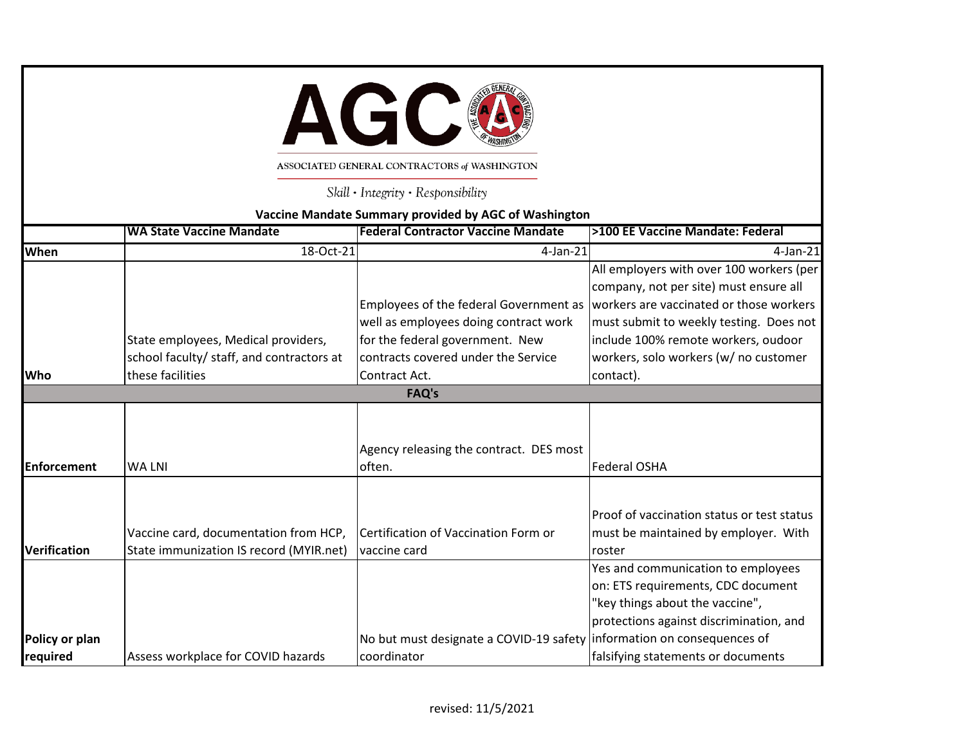| AGC                                                                                                                                         |                                                                                  |                                                                        |                                                                                                                                                        |  |  |      |                                 |                                           |                                  |
|---------------------------------------------------------------------------------------------------------------------------------------------|----------------------------------------------------------------------------------|------------------------------------------------------------------------|--------------------------------------------------------------------------------------------------------------------------------------------------------|--|--|------|---------------------------------|-------------------------------------------|----------------------------------|
| ASSOCIATED GENERAL CONTRACTORS of WASHINGTON<br>Skill · Integrity · Responsibility<br>Vaccine Mandate Summary provided by AGC of Washington |                                                                                  |                                                                        |                                                                                                                                                        |  |  |      |                                 |                                           |                                  |
|                                                                                                                                             |                                                                                  |                                                                        |                                                                                                                                                        |  |  |      | <b>WA State Vaccine Mandate</b> | <b>Federal Contractor Vaccine Mandate</b> | >100 EE Vaccine Mandate: Federal |
|                                                                                                                                             |                                                                                  |                                                                        |                                                                                                                                                        |  |  | When | 18-Oct-21                       | $4$ -Jan-21                               | 4-Jan-21                         |
|                                                                                                                                             |                                                                                  | Employees of the federal Government as                                 | All employers with over 100 workers (per<br>company, not per site) must ensure all<br>workers are vaccinated or those workers                          |  |  |      |                                 |                                           |                                  |
|                                                                                                                                             |                                                                                  | well as employees doing contract work                                  | must submit to weekly testing. Does not                                                                                                                |  |  |      |                                 |                                           |                                  |
|                                                                                                                                             | State employees, Medical providers,                                              | for the federal government. New                                        | include 100% remote workers, oudoor                                                                                                                    |  |  |      |                                 |                                           |                                  |
| <b>Who</b>                                                                                                                                  | school faculty/ staff, and contractors at<br>these facilities                    | contracts covered under the Service<br>Contract Act.                   | workers, solo workers (w/ no customer<br>contact).                                                                                                     |  |  |      |                                 |                                           |                                  |
|                                                                                                                                             |                                                                                  | <b>FAQ's</b>                                                           |                                                                                                                                                        |  |  |      |                                 |                                           |                                  |
|                                                                                                                                             |                                                                                  |                                                                        |                                                                                                                                                        |  |  |      |                                 |                                           |                                  |
| <b>Enforcement</b>                                                                                                                          | <b>WA LNI</b>                                                                    | Agency releasing the contract. DES most<br>often.                      | <b>Federal OSHA</b>                                                                                                                                    |  |  |      |                                 |                                           |                                  |
|                                                                                                                                             |                                                                                  |                                                                        |                                                                                                                                                        |  |  |      |                                 |                                           |                                  |
| <b>Verification</b>                                                                                                                         | Vaccine card, documentation from HCP,<br>State immunization IS record (MYIR.net) | Certification of Vaccination Form or<br>vaccine card                   | Proof of vaccination status or test status<br>must be maintained by employer. With<br>roster                                                           |  |  |      |                                 |                                           |                                  |
|                                                                                                                                             |                                                                                  |                                                                        | Yes and communication to employees<br>on: ETS requirements, CDC document<br>"key things about the vaccine",<br>protections against discrimination, and |  |  |      |                                 |                                           |                                  |
| Policy or plan                                                                                                                              |                                                                                  | No but must designate a COVID-19 safety information on consequences of |                                                                                                                                                        |  |  |      |                                 |                                           |                                  |
| required                                                                                                                                    | Assess workplace for COVID hazards                                               | coordinator                                                            | falsifying statements or documents                                                                                                                     |  |  |      |                                 |                                           |                                  |